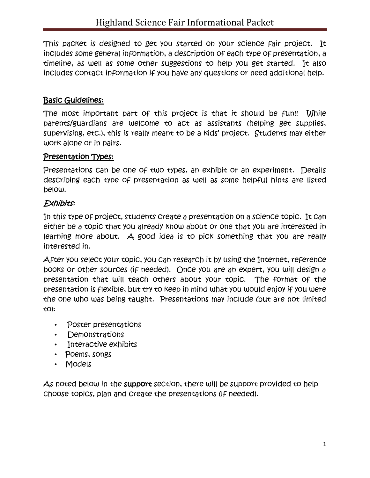This packet is designed to get you started on your science fair project. It includes some general information, a description of each type of presentation, a timeline, as well as some other suggestions to help you get started. It also includes contact information if you have any questions or need additional help.

## Basic Guidelines:

The most important part of this project is that it should be fun!! While parents/guardians are welcome to act as assistants (helping get supplies, supervising, etc.), this is really meant to be a kids' project. Students may either work alone or in pairs.

### Presentation Types:

Presentations can be one of two types, an exhibit or an experiment. Details describing each type of presentation as well as some helpful hints are listed below.

### Exhibits:

In this type of project, students create a presentation on a science topic. It can either be a topic that you already know about or one that you are interested in learning more about. A good idea is to pick something that you are really interested in.

After you select your topic, you can research it by using the Internet, reference books or other sources (if needed). Once you are an expert, you will design a presentation that will teach others about your topic. The format of the presentation is flexible, but try to keep in mind what you would enjoy if you were the one who was being taught. Presentations may include (but are not limited to):

- Poster presentations
- Demonstrations
- Interactive exhibits
- Poems, songs
- Models

As noted below in the support section, there will be support provided to help choose topics, plan and create the presentations (if needed).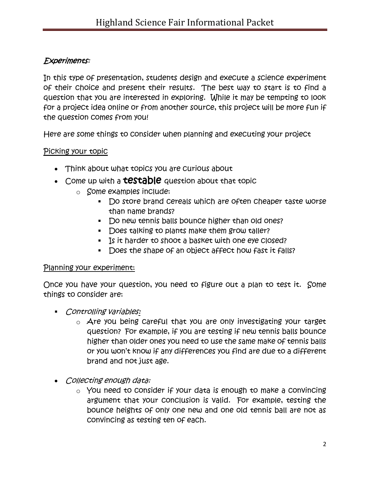## Experiments:

In this type of presentation, students design and execute a science experiment of their choice and present their results. The best way to start is to find a question that you are interested in exploring. While it may be tempting to look for a project idea online or from another source, this project will be more fun if the question comes from you!

Here are some things to consider when planning and executing your project

#### Picking your topic

- Think about what topics you are curious about
- Come up with a **testable** question about that topic
	- o Some examples include:
		- Do store brand cereals which are often cheaper taste worse than name brands?
		- Do new tennis balls bounce higher than old ones?
		- Does talking to plants make them grow taller?
		- **Is it harder to shoot a basket with one eye closed?**
		- Does the shape of an object affect how fast it falls?

#### Planning your experiment:

Once you have your question, you need to figure out a plan to test it. Some things to consider are:

- **Controlling variables:** 
	- $\circ$  Are you being careful that you are only investigating your target question? For example, if you are testing if new tennis balls bounce higher than older ones you need to use the same make of tennis balls or you won't know if any differences you find are due to a different brand and not just age.
- Collecting enough data:
	- $\circ$  You need to consider if your data is enough to make a convincing argument that your conclusion is valid. For example, testing the bounce heights of only one new and one old tennis ball are not as convincing as testing ten of each.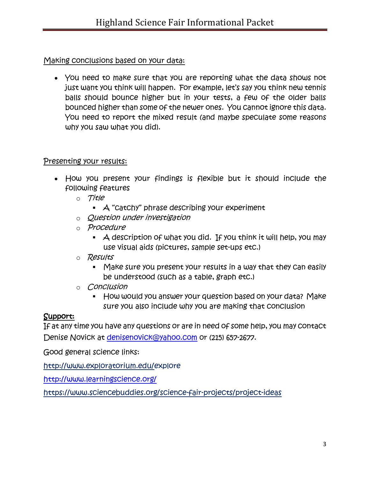## Making conclusions based on your data:

 You need to make sure that you are reporting what the data shows not just want you think will happen. For example, let's say you think new tennis balls should bounce higher but in your tests, a few of the older balls bounced higher than some of the newer ones. You cannot ignore this data. You need to report the mixed result (and maybe speculate some reasons why you saw what you did).

## Presenting your results:

- How you present your findings is flexible but it should include the following features
	- o Title
		- $\blacktriangle$  "Catchy" phrase describing your experiment
	- o Question under investigation
	- o Procedure
		- $\blacktriangleright$   $\blacktriangle$  description of what you did. If you think it will help, you may use visual aids (pictures, sample set-ups etc.)
	- o *Results* 
		- Make sure you present your results in a way that they can easily be understood (such as a table, graph etc.)
	- o Conclusion
		- **How would you answer your question based on your data? Make** sure you also include why you are making that conclusion

# Support:

If at any time you have any questions or are in need of some help, you may contact Denise Novick at [denisenovick@yahoo.com](mailto:denisenovick@yahoo.com) or (215) 657-2677.

Good general science links:

[http://www.exploratorium.edu/e](http://www.exploratorium.edu/)xplore

<http://www.learningscience.org/>

https://www.sciencebuddies.org/science-fair-projects/project-ideas